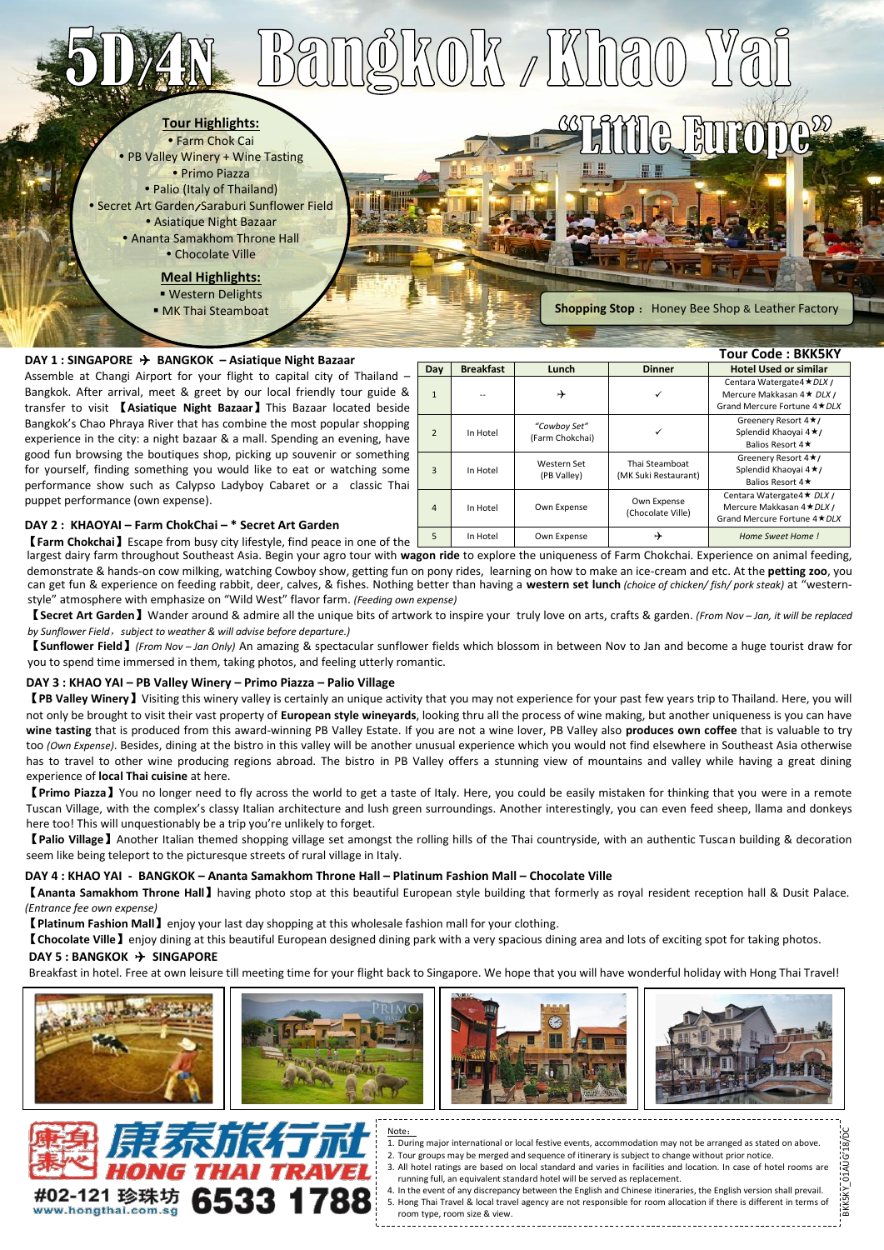# **BKOK /Kha**

**Tour Highlights:**

 Farm Chok Cai • PB Valley Winery + Wine Tasting Primo Piazza • Palio (Italy of Thailand) Secret Art Garden/Saraburi Sunflower Field Asiatique Night Bazaar Ananta Samakhom Throne Hall Chocolate Ville

> **Meal Highlights:** Western Delights **MK Thai Steamboat**

**Shopping Stop** : Honey Bee Shop & Leather Factory

<u>al</u>

 $\mathbb{R}$ 

| DAY 1 : SINGAPORE $\rightarrow$ BANGKOK – Asiatique Night Bazaar                                                                                                                                                                                                                                                                                                                                                                                                                                                                                                                                                                                                                                                   |     |                  |                                 |                                        | Tour Code : BKK5KY                                                                        |  |
|--------------------------------------------------------------------------------------------------------------------------------------------------------------------------------------------------------------------------------------------------------------------------------------------------------------------------------------------------------------------------------------------------------------------------------------------------------------------------------------------------------------------------------------------------------------------------------------------------------------------------------------------------------------------------------------------------------------------|-----|------------------|---------------------------------|----------------------------------------|-------------------------------------------------------------------------------------------|--|
|                                                                                                                                                                                                                                                                                                                                                                                                                                                                                                                                                                                                                                                                                                                    | Day | <b>Breakfast</b> | Lunch                           | <b>Dinner</b>                          | <b>Hotel Used or similar</b>                                                              |  |
| Assemble at Changi Airport for your flight to capital city of Thailand -<br>Bangkok. After arrival, meet & greet by our local friendly tour guide &<br>transfer to visit <b>[Asiatique Night Bazaar]</b> This Bazaar located beside<br>Bangkok's Chao Phraya River that has combine the most popular shopping<br>experience in the city: a night bazaar & a mall. Spending an evening, have<br>good fun browsing the boutiques shop, picking up souvenir or something<br>for yourself, finding something you would like to eat or watching some<br>performance show such as Calypso Ladyboy Cabaret or a classic Thai<br>puppet performance (own expense).<br>DAY 2: KHAOYAI – Farm ChokChai – * Secret Art Garden |     |                  |                                 |                                        | Centara Watergate4 ★ DLX /<br>Mercure Makkasan 4 ★ DLX /<br>Grand Mercure Fortune 4 ★ DLX |  |
|                                                                                                                                                                                                                                                                                                                                                                                                                                                                                                                                                                                                                                                                                                                    |     | In Hotel         | "Cowbov Set"<br>(Farm Chokchai) |                                        | Greenery Resort 4 ★/<br>Splendid Khaoyai 4 ★/<br>Balios Resort 4★                         |  |
|                                                                                                                                                                                                                                                                                                                                                                                                                                                                                                                                                                                                                                                                                                                    |     | In Hotel         | Western Set<br>(PB Valley)      | Thai Steamboat<br>(MK Suki Restaurant) | Greenery Resort 4 ★/<br>Splendid Khaoyai 4 ★/<br>Balios Resort 4★                         |  |
|                                                                                                                                                                                                                                                                                                                                                                                                                                                                                                                                                                                                                                                                                                                    | 4   | In Hotel         | Own Expense                     | Own Expense<br>(Chocolate Ville)       | Centara Watergate4 ★ DLX /<br>Mercure Makkasan 4 ★ DLX /<br>Grand Mercure Fortune 4 ★ DLX |  |
| <b>[Farm Chokchai]</b> Escape from busy city lifestyle, find peace in one of the                                                                                                                                                                                                                                                                                                                                                                                                                                                                                                                                                                                                                                   |     | In Hotel         | Own Expense                     | ⊁                                      | Home Sweet Home !                                                                         |  |
| Iargest dairy farm throughout Couthaast Asia. Degin your agro tour with wagen ride to evalge the uniquances of Farm Chalcohai. Evangiance on animal foodin                                                                                                                                                                                                                                                                                                                                                                                                                                                                                                                                                         |     |                  |                                 |                                        |                                                                                           |  |

### **DAY 2 : KHAOYAI – Farm ChokChai – \* Secret Art Garden**

【**Farm Chokchai**】Escape from busy city lifestyle, find peace in one of the largest largest dairy farm throughout Southeast Asia. Begin your agro tour with **wagon ride** to explore the uniqueness of Farm Chokchai. Experience on animal feeding, style" atmosphere with emphasize on "Wild West" flavor farm. *(Feeding own expense)* can get fun & experience on feeding rabbit, deer, calves, & fishes. Nothing better than having a **western set lunch** *(choice of chicken/ fish/ pork steak)* at "western-can demonstrate & hands-on cow milking, watching Cowboy show, getting fun on pony rides, learning on how to make an ice-cream and etc. At the **petting zoo**, you

【**Secret Art Garden**】Wander around & admire all the unique bits of artwork to inspire your truly love on arts, crafts & garden. *(From Nov – Jan, it will be replaced by Sunflower Field*,*subject to weather & will advise before departure.)*

【**Sunflower Field**】*(From Nov – Jan Only)* An amazing & spectacular sunflower fields which blossom in between Nov to Jan and become a huge tourist draw for you to spend time immersed in them, taking photos, and feeling utterly romantic.

### **DAY 3 : KHAO YAI – PB Valley Winery – Primo Piazza – Palio Village**

【**PB Valley Winery**】Visiting this winery valley is certainly an unique activity that you may not experience for your past few years trip to Thailand. Here, you will not only be brought to visit their vast property of **European style wineyards**, looking thru all the process of wine making, but another uniqueness is you can have **wine tasting** that is produced from this award-winning PB Valley Estate. If you are not a wine lover, PB Valley also **produces own coffee** that is valuable to try too *(Own Expense)*. Besides, dining at the bistro in this valley will be another unusual experience which you would not find elsewhere in Southeast Asia otherwise has to travel to other wine producing regions abroad. The bistro in PB Valley offers a stunning view of mountains and valley while having a great dining experience of **local Thai cuisine** at here.

【**Primo Piazza**】You no longer need to fly across the world to get a taste of Italy. Here, you could be easily mistaken for thinking that you were in a remote Tuscan Village, with the complex's classy Italian architecture and lush green surroundings. Another interestingly, you can even feed sheep, llama and donkeys here too! This will unquestionably be a trip you're unlikely to forget.

【**Palio Village**】Another Italian themed shopping village set amongst the rolling hills of the Thai countryside, with an authentic Tuscan building & decoration seem like being teleport to the picturesque streets of rural village in Italy.

### **DAY 4 : KHAO YAI - BANGKOK – Ananta Samakhom Throne Hall – Platinum Fashion Mall – Chocolate Ville**

【**Ananta Samakhom Throne Hall**】having photo stop at this beautiful European style building that formerly as royal resident reception hall & Dusit Palace. *(Entrance fee own expense)*

【**Platinum Fashion Mall**】enjoy your last day shopping at this wholesale fashion mall for your clothing.

【**Chocolate Ville**】enjoy dining at this beautiful European designed dining park with a very spacious dining area and lots of exciting spot for taking photos.

### **DAY 5 : BANGKOK > SINGAPORE**

**DAY 5 : BANGKOK SINGAPORE** Breakfast in hotel. Free at own leisure till meeting time for your flight back to Singapore. We hope that you will have wonderful holiday with Hong Thai Travel!



## #02-121 珍珠坊 www.hongthai.com.sg



1. During major international or local festive events, accommodation may not be arranged as stated on above. 2. Tour groups may be merged and sequence of itinerary is subject to change without prior notice.

3. All hotel ratings are based on local standard and varies in facilities and location. In case of hotel rooms are running full, an equivalent standard hotel will be served as replacement.

BKK5KY\_01AUG'18/DC

**BKKSKY** 

18/

4. In the event of any discrepancy between the English and Chinese itineraries, the English version shall prevail. 5. Hong Thai Travel & local travel agency are not responsible for room allocation if there is different in terms of room type, room size & view.